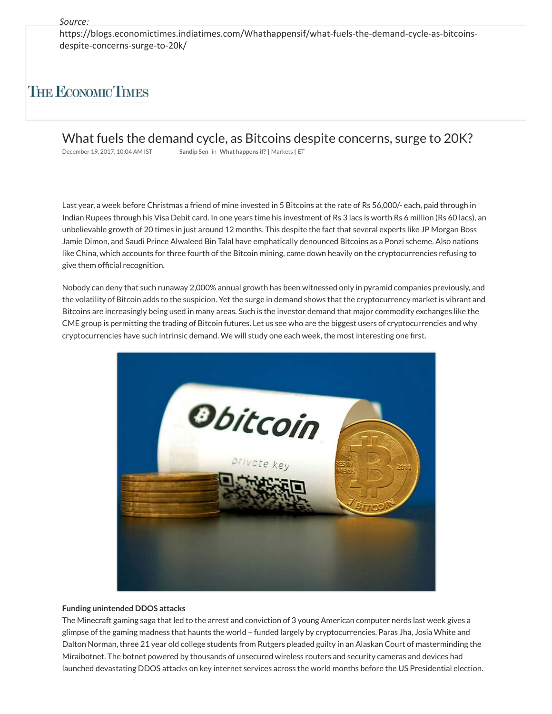https://blogs.economictimes.indiatimes.com/Whathappensif/what-fuels-the-demand-cycle-as-bitcoinsdespite-concerns-surge-to-20k/

## **THE ECONOMIC TIMES**

What fuels the demand cycle, as Bitcoins despite concerns, surge to 20K?

December 19, 2017, 10:04 AM IST **Sandip Sen** in **What happens if? |** Markets **|** ET

Last year, a week before Christmas a friend of mine invested in 5 Bitcoins at the rate of Rs 56,000/- each, paid through in Indian Rupees through his Visa Debit card. In one years time his investment of Rs 3 lacs is worth Rs 6 million (Rs 60 lacs), an unbelievable growth of 20 times in just around 12 months. This despite the fact that several experts like JP Morgan Boss Jamie Dimon, and Saudi Prince Alwaleed Bin Talal have emphatically denounced Bitcoins as a Ponzi scheme. Also nations like China, which accounts for three fourth of the Bitcoin mining, came down heavily on the cryptocurrencies refusing to give them official recognition.

Nobody can deny that such runaway 2,000% annual growth has been witnessed only in pyramid companies previously, and the volatility of Bitcoin adds to the suspicion. Yet the surge in demand shows that the cryptocurrency market is vibrant and Bitcoins are increasingly being used in many areas. Such is the investor demand that major commodity exchanges like the CME group is permitting the trading of Bitcoin futures. Let us see who are the biggest users of cryptocurrencies and why cryptocurrencies have such intrinsic demand. We will study one each week, the most interesting one first.



## **Funding unintended DDOS attacks**

The Minecraft gaming saga that led to the arrest and conviction of 3 young American computer nerds last week gives a glimpse of the gaming madness that haunts the world – funded largely by cryptocurrencies. Paras Jha, Josia White and Dalton Norman, three 21 year old college students from Rutgers pleaded guilty in an Alaskan Court of masterminding the Miraibotnet. The botnet powered by thousands of unsecured wireless routers and security cameras and devices had launched devastating DDOS attacks on key internet services across the world months before the US Presidential election.